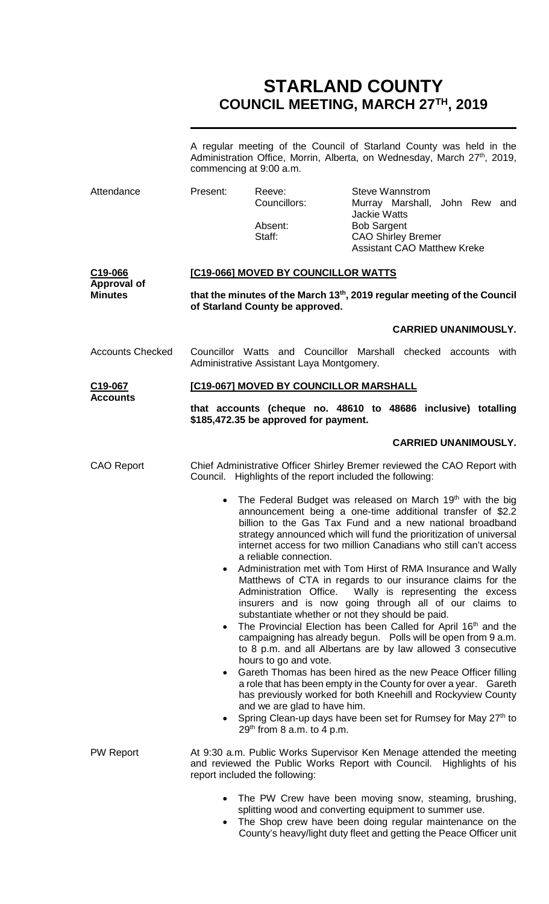# **STARLAND COUNTY COUNCIL MEETING, MARCH 27TH, 2019**

|                                                 | A regular meeting of the Council of Starland County was held in the<br>Administration Office, Morrin, Alberta, on Wednesday, March 27 <sup>th</sup> , 2019,<br>commencing at 9:00 a.m. |                                                                                                                                           |                                                                                                                                                                                                                                                                                                                                                                                                                                                                                                                                                                                                                                                                                                                                                                                                                                                                                                                                                                                                                                                                                                                             |  |
|-------------------------------------------------|----------------------------------------------------------------------------------------------------------------------------------------------------------------------------------------|-------------------------------------------------------------------------------------------------------------------------------------------|-----------------------------------------------------------------------------------------------------------------------------------------------------------------------------------------------------------------------------------------------------------------------------------------------------------------------------------------------------------------------------------------------------------------------------------------------------------------------------------------------------------------------------------------------------------------------------------------------------------------------------------------------------------------------------------------------------------------------------------------------------------------------------------------------------------------------------------------------------------------------------------------------------------------------------------------------------------------------------------------------------------------------------------------------------------------------------------------------------------------------------|--|
| Attendance                                      | Present:                                                                                                                                                                               | Reeve:<br>Councillors:<br>Absent:<br>Staff:                                                                                               | <b>Steve Wannstrom</b><br>Murray Marshall, John Rew and<br><b>Jackie Watts</b><br><b>Bob Sargent</b><br><b>CAO Shirley Bremer</b><br><b>Assistant CAO Matthew Kreke</b>                                                                                                                                                                                                                                                                                                                                                                                                                                                                                                                                                                                                                                                                                                                                                                                                                                                                                                                                                     |  |
| C19-066<br><b>Approval of</b><br><b>Minutes</b> | [C19-066] MOVED BY COUNCILLOR WATTS                                                                                                                                                    |                                                                                                                                           |                                                                                                                                                                                                                                                                                                                                                                                                                                                                                                                                                                                                                                                                                                                                                                                                                                                                                                                                                                                                                                                                                                                             |  |
|                                                 |                                                                                                                                                                                        | of Starland County be approved.                                                                                                           | that the minutes of the March 13 <sup>th</sup> , 2019 regular meeting of the Council                                                                                                                                                                                                                                                                                                                                                                                                                                                                                                                                                                                                                                                                                                                                                                                                                                                                                                                                                                                                                                        |  |
|                                                 |                                                                                                                                                                                        |                                                                                                                                           | <b>CARRIED UNANIMOUSLY.</b>                                                                                                                                                                                                                                                                                                                                                                                                                                                                                                                                                                                                                                                                                                                                                                                                                                                                                                                                                                                                                                                                                                 |  |
| <b>Accounts Checked</b>                         | Councillor Watts and Councillor Marshall checked accounts with<br>Administrative Assistant Laya Montgomery.                                                                            |                                                                                                                                           |                                                                                                                                                                                                                                                                                                                                                                                                                                                                                                                                                                                                                                                                                                                                                                                                                                                                                                                                                                                                                                                                                                                             |  |
| C19-067<br><b>Accounts</b>                      |                                                                                                                                                                                        | [C19-067] MOVED BY COUNCILLOR MARSHALL                                                                                                    |                                                                                                                                                                                                                                                                                                                                                                                                                                                                                                                                                                                                                                                                                                                                                                                                                                                                                                                                                                                                                                                                                                                             |  |
|                                                 |                                                                                                                                                                                        | \$185,472.35 be approved for payment.                                                                                                     | that accounts (cheque no. 48610 to 48686 inclusive) totalling                                                                                                                                                                                                                                                                                                                                                                                                                                                                                                                                                                                                                                                                                                                                                                                                                                                                                                                                                                                                                                                               |  |
|                                                 |                                                                                                                                                                                        |                                                                                                                                           | <b>CARRIED UNANIMOUSLY.</b>                                                                                                                                                                                                                                                                                                                                                                                                                                                                                                                                                                                                                                                                                                                                                                                                                                                                                                                                                                                                                                                                                                 |  |
| <b>CAO Report</b>                               | Council.                                                                                                                                                                               | Highlights of the report included the following:                                                                                          | Chief Administrative Officer Shirley Bremer reviewed the CAO Report with                                                                                                                                                                                                                                                                                                                                                                                                                                                                                                                                                                                                                                                                                                                                                                                                                                                                                                                                                                                                                                                    |  |
|                                                 | $\bullet$<br>$\bullet$<br>$\bullet$                                                                                                                                                    | a reliable connection.<br>Administration Office.<br>hours to go and vote.<br>and we are glad to have him.<br>$29th$ from 8 a.m. to 4 p.m. | The Federal Budget was released on March 19 <sup>th</sup> with the big<br>announcement being a one-time additional transfer of \$2.2<br>billion to the Gas Tax Fund and a new national broadband<br>strategy announced which will fund the prioritization of universal<br>internet access for two million Canadians who still can't access<br>Administration met with Tom Hirst of RMA Insurance and Wally<br>Matthews of CTA in regards to our insurance claims for the<br>Wally is representing the excess<br>insurers and is now going through all of our claims to<br>substantiate whether or not they should be paid.<br>The Provincial Election has been Called for April 16 <sup>th</sup> and the<br>campaigning has already begun. Polls will be open from 9 a.m.<br>to 8 p.m. and all Albertans are by law allowed 3 consecutive<br>Gareth Thomas has been hired as the new Peace Officer filling<br>a role that has been empty in the County for over a year. Gareth<br>has previously worked for both Kneehill and Rockyview County<br>Spring Clean-up days have been set for Rumsey for May 27 <sup>th</sup> to |  |
| <b>PW Report</b>                                |                                                                                                                                                                                        | report included the following:                                                                                                            | At 9:30 a.m. Public Works Supervisor Ken Menage attended the meeting<br>and reviewed the Public Works Report with Council. Highlights of his                                                                                                                                                                                                                                                                                                                                                                                                                                                                                                                                                                                                                                                                                                                                                                                                                                                                                                                                                                                |  |
|                                                 |                                                                                                                                                                                        |                                                                                                                                           | The PW Crew have been moving snow, steaming, brushing,<br>splitting wood and converting equipment to summer use.                                                                                                                                                                                                                                                                                                                                                                                                                                                                                                                                                                                                                                                                                                                                                                                                                                                                                                                                                                                                            |  |

• The Shop crew have been doing regular maintenance on the County's heavy/light duty fleet and getting the Peace Officer unit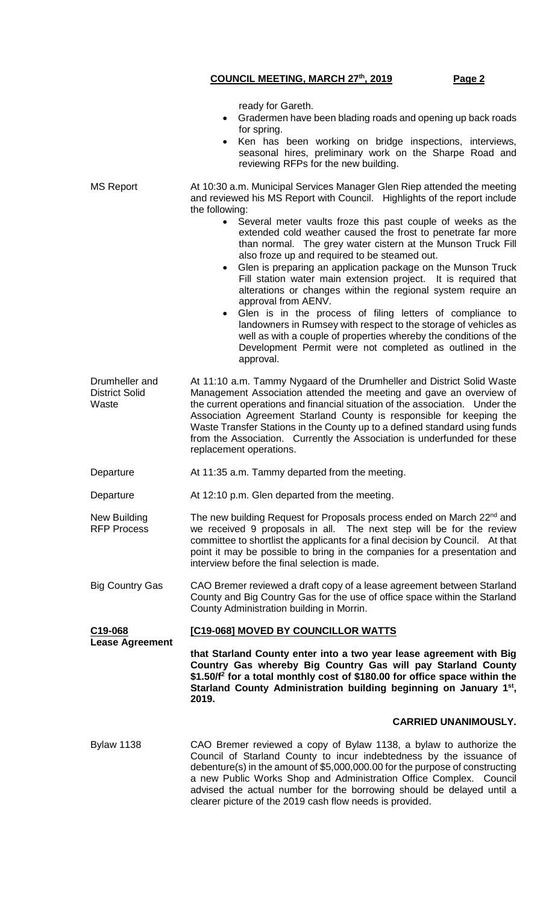|                                                  | ready for Gareth.<br>Gradermen have been blading roads and opening up back roads<br>for spring.<br>Ken has been working on bridge inspections, interviews,<br>seasonal hires, preliminary work on the Sharpe Road and<br>reviewing RFPs for the new building.                                                                                                                                                                                                                                                                                                                                                                                                                                                                                                                 |  |  |
|--------------------------------------------------|-------------------------------------------------------------------------------------------------------------------------------------------------------------------------------------------------------------------------------------------------------------------------------------------------------------------------------------------------------------------------------------------------------------------------------------------------------------------------------------------------------------------------------------------------------------------------------------------------------------------------------------------------------------------------------------------------------------------------------------------------------------------------------|--|--|
| <b>MS Report</b>                                 | At 10:30 a.m. Municipal Services Manager Glen Riep attended the meeting<br>and reviewed his MS Report with Council. Highlights of the report include<br>the following:                                                                                                                                                                                                                                                                                                                                                                                                                                                                                                                                                                                                        |  |  |
|                                                  | Several meter vaults froze this past couple of weeks as the<br>$\bullet$<br>extended cold weather caused the frost to penetrate far more<br>than normal. The grey water cistern at the Munson Truck Fill<br>also froze up and required to be steamed out.<br>Glen is preparing an application package on the Munson Truck<br>$\bullet$<br>Fill station water main extension project. It is required that<br>alterations or changes within the regional system require an<br>approval from AENV.<br>Glen is in the process of filing letters of compliance to<br>landowners in Rumsey with respect to the storage of vehicles as<br>well as with a couple of properties whereby the conditions of the<br>Development Permit were not completed as outlined in the<br>approval. |  |  |
| Drumheller and<br><b>District Solid</b><br>Waste | At 11:10 a.m. Tammy Nygaard of the Drumheller and District Solid Waste<br>Management Association attended the meeting and gave an overview of<br>the current operations and financial situation of the association. Under the<br>Association Agreement Starland County is responsible for keeping the<br>Waste Transfer Stations in the County up to a defined standard using funds<br>from the Association. Currently the Association is underfunded for these<br>replacement operations.                                                                                                                                                                                                                                                                                    |  |  |
| Departure                                        | At 11:35 a.m. Tammy departed from the meeting.                                                                                                                                                                                                                                                                                                                                                                                                                                                                                                                                                                                                                                                                                                                                |  |  |
| Departure                                        | At 12:10 p.m. Glen departed from the meeting.                                                                                                                                                                                                                                                                                                                                                                                                                                                                                                                                                                                                                                                                                                                                 |  |  |
| New Building<br><b>RFP Process</b>               | The new building Request for Proposals process ended on March 22nd and<br>we received 9 proposals in all. The next step will be for the review<br>committee to shortlist the applicants for a final decision by Council. At that<br>point it may be possible to bring in the companies for a presentation and<br>interview before the final selection is made.                                                                                                                                                                                                                                                                                                                                                                                                                |  |  |
| Big Country Gas                                  | CAO Bremer reviewed a draft copy of a lease agreement between Starland<br>County and Big Country Gas for the use of office space within the Starland<br>County Administration building in Morrin.                                                                                                                                                                                                                                                                                                                                                                                                                                                                                                                                                                             |  |  |
| C19-068                                          | [C19-068] MOVED BY COUNCILLOR WATTS                                                                                                                                                                                                                                                                                                                                                                                                                                                                                                                                                                                                                                                                                                                                           |  |  |
| <b>Lease Agreement</b>                           | that Starland County enter into a two year lease agreement with Big<br>Country Gas whereby Big Country Gas will pay Starland County<br>\$1.50/f <sup>2</sup> for a total monthly cost of \$180.00 for office space within the<br>Starland County Administration building beginning on January 1 <sup>st</sup> ,<br>2019.                                                                                                                                                                                                                                                                                                                                                                                                                                                      |  |  |
|                                                  | <b>CARRIED UNANIMOUSLY.</b>                                                                                                                                                                                                                                                                                                                                                                                                                                                                                                                                                                                                                                                                                                                                                   |  |  |
| <b>Bylaw 1138</b>                                | CAO Bremer reviewed a copy of Bylaw 1138, a bylaw to authorize the<br>Council of Starland County to incur indebtedness by the issuance of<br>debenture(s) in the amount of \$5,000,000.00 for the purpose of constructing<br>a new Public Works Shop and Administration Office Complex. Council<br>advised the actual number for the borrowing should be delayed until a<br>clearer picture of the 2019 cash flow needs is provided.                                                                                                                                                                                                                                                                                                                                          |  |  |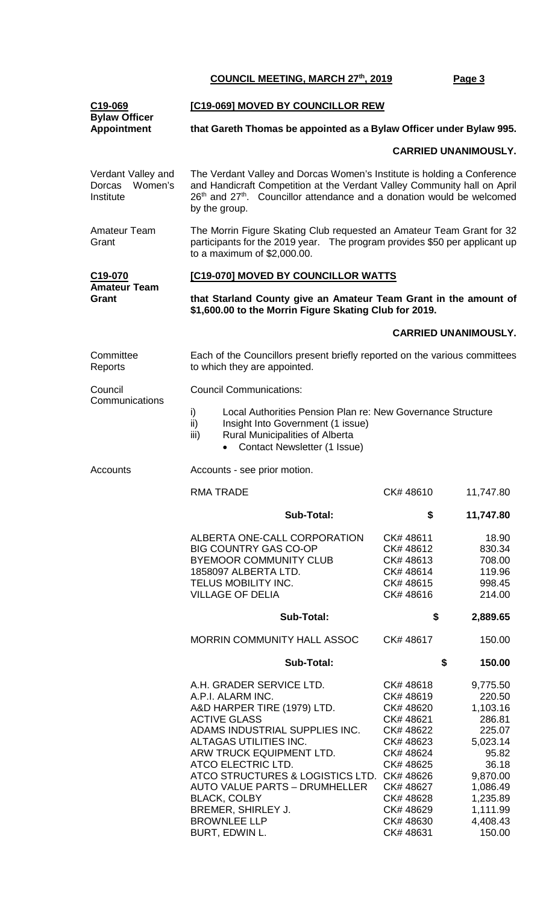| C <sub>19</sub> -069                                 | [C19-069] MOVED BY COUNCILLOR REW                                                                                                                                                                                                                                                                                                                    |                                                                                                                                           |                                                                                                                                  |  |  |  |
|------------------------------------------------------|------------------------------------------------------------------------------------------------------------------------------------------------------------------------------------------------------------------------------------------------------------------------------------------------------------------------------------------------------|-------------------------------------------------------------------------------------------------------------------------------------------|----------------------------------------------------------------------------------------------------------------------------------|--|--|--|
| <b>Bylaw Officer</b><br><b>Appointment</b>           | that Gareth Thomas be appointed as a Bylaw Officer under Bylaw 995.                                                                                                                                                                                                                                                                                  |                                                                                                                                           |                                                                                                                                  |  |  |  |
|                                                      |                                                                                                                                                                                                                                                                                                                                                      |                                                                                                                                           | <b>CARRIED UNANIMOUSLY.</b>                                                                                                      |  |  |  |
| Verdant Valley and<br>Women's<br>Dorcas<br>Institute | The Verdant Valley and Dorcas Women's Institute is holding a Conference<br>and Handicraft Competition at the Verdant Valley Community hall on April<br>26th and 27th. Councillor attendance and a donation would be welcomed<br>by the group.                                                                                                        |                                                                                                                                           |                                                                                                                                  |  |  |  |
| <b>Amateur Team</b><br>Grant                         | The Morrin Figure Skating Club requested an Amateur Team Grant for 32<br>participants for the 2019 year. The program provides \$50 per applicant up<br>to a maximum of \$2,000.00.                                                                                                                                                                   |                                                                                                                                           |                                                                                                                                  |  |  |  |
| C19-070                                              | [C19-070] MOVED BY COUNCILLOR WATTS                                                                                                                                                                                                                                                                                                                  |                                                                                                                                           |                                                                                                                                  |  |  |  |
| <b>Amateur Team</b><br>Grant                         | that Starland County give an Amateur Team Grant in the amount of<br>\$1,600.00 to the Morrin Figure Skating Club for 2019.                                                                                                                                                                                                                           |                                                                                                                                           |                                                                                                                                  |  |  |  |
|                                                      |                                                                                                                                                                                                                                                                                                                                                      |                                                                                                                                           | <b>CARRIED UNANIMOUSLY.</b>                                                                                                      |  |  |  |
| Committee<br>Reports                                 | Each of the Councillors present briefly reported on the various committees<br>to which they are appointed.                                                                                                                                                                                                                                           |                                                                                                                                           |                                                                                                                                  |  |  |  |
| Council<br>Communications                            | <b>Council Communications:</b>                                                                                                                                                                                                                                                                                                                       |                                                                                                                                           |                                                                                                                                  |  |  |  |
|                                                      | Local Authorities Pension Plan re: New Governance Structure<br>i)<br>ii)<br>Insight Into Government (1 issue)<br><b>Rural Municipalities of Alberta</b><br>iii)<br>Contact Newsletter (1 Issue)<br>$\bullet$                                                                                                                                         |                                                                                                                                           |                                                                                                                                  |  |  |  |
| Accounts                                             | Accounts - see prior motion.                                                                                                                                                                                                                                                                                                                         |                                                                                                                                           |                                                                                                                                  |  |  |  |
|                                                      | RMA TRADE                                                                                                                                                                                                                                                                                                                                            | CK#48610                                                                                                                                  | 11,747.80                                                                                                                        |  |  |  |
|                                                      | Sub-Total:                                                                                                                                                                                                                                                                                                                                           | \$                                                                                                                                        | 11,747.80                                                                                                                        |  |  |  |
|                                                      | ALBERTA ONE-CALL CORPORATION<br><b>BIG COUNTRY GAS CO-OP</b><br><b>BYEMOOR COMMUNITY CLUB</b><br>1858097 ALBERTA LTD.<br>TELUS MOBILITY INC.<br><b>VILLAGE OF DELIA</b>                                                                                                                                                                              | CK#48611<br>CK#48612<br>CK#48613<br>CK#48614<br>CK#48615<br>CK#48616                                                                      | 18.90<br>830.34<br>708.00<br>119.96<br>998.45<br>214.00                                                                          |  |  |  |
|                                                      | <b>Sub-Total:</b>                                                                                                                                                                                                                                                                                                                                    | \$                                                                                                                                        | 2,889.65                                                                                                                         |  |  |  |
|                                                      | MORRIN COMMUNITY HALL ASSOC                                                                                                                                                                                                                                                                                                                          | CK#48617                                                                                                                                  | 150.00                                                                                                                           |  |  |  |
|                                                      | <b>Sub-Total:</b>                                                                                                                                                                                                                                                                                                                                    | \$<br>150.00                                                                                                                              |                                                                                                                                  |  |  |  |
|                                                      | A.H. GRADER SERVICE LTD.<br>A.P.I. ALARM INC.<br>A&D HARPER TIRE (1979) LTD.<br><b>ACTIVE GLASS</b><br>ADAMS INDUSTRIAL SUPPLIES INC.<br>ALTAGAS UTILITIES INC.<br>ARW TRUCK EQUIPMENT LTD.<br>ATCO ELECTRIC LTD.<br>ATCO STRUCTURES & LOGISTICS LTD. CK# 48626<br><b>AUTO VALUE PARTS - DRUMHELLER</b><br><b>BLACK, COLBY</b><br>BREMER, SHIRLEY J. | CK#48618<br>CK#48619<br>CK# 48620<br>CK# 48621<br>CK# 48622<br>CK# 48623<br>CK# 48624<br>CK# 48625<br>CK# 48627<br>CK# 48628<br>CK# 48629 | 9,775.50<br>220.50<br>1,103.16<br>286.81<br>225.07<br>5,023.14<br>95.82<br>36.18<br>9,870.00<br>1,086.49<br>1,235.89<br>1,111.99 |  |  |  |

BROWNLEE LLP CK# 48630 4,408.43 BURT, EDWIN L. CK# 48631 150.00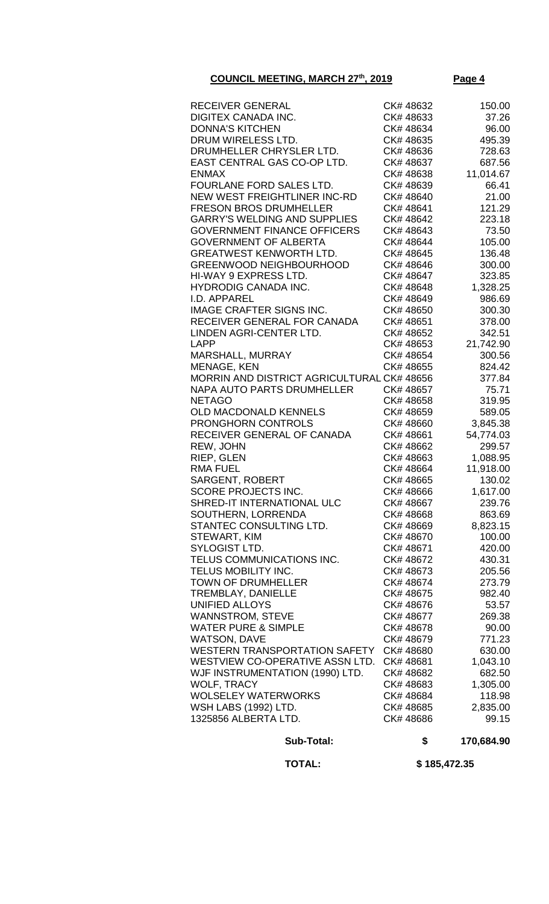|--|--|

| RECEIVER GENERAL                                          | CK# 48632 | 150.00              |
|-----------------------------------------------------------|-----------|---------------------|
| DIGITEX CANADA INC.                                       | CK#48633  | 37.26               |
| <b>DONNA'S KITCHEN</b>                                    | CK# 48634 | 96.00               |
| DRUM WIRELESS LTD.                                        | CK# 48635 | 495.39              |
| DRUMHELLER CHRYSLER LTD.                                  | CK#48636  | 728.63              |
| EAST CENTRAL GAS CO-OP LTD.                               | CK# 48637 | 687.56              |
| <b>ENMAX</b>                                              | CK# 48638 | 11,014.67           |
| FOURLANE FORD SALES LTD.                                  | CK# 48639 | 66.41               |
| NEW WEST FREIGHTLINER INC-RD                              | CK# 48640 | 21.00               |
| <b>FRESON BROS DRUMHELLER</b>                             | CK# 48641 | 121.29              |
| <b>GARRY'S WELDING AND SUPPLIES</b>                       | CK# 48642 | 223.18              |
| <b>GOVERNMENT FINANCE OFFICERS</b>                        | CK# 48643 | 73.50               |
| <b>GOVERNMENT OF ALBERTA</b>                              | CK# 48644 | 105.00              |
| <b>GREATWEST KENWORTH LTD.</b>                            | CK# 48645 | 136.48              |
| <b>GREENWOOD NEIGHBOURHOOD</b>                            | CK# 48646 | 300.00              |
| HI-WAY 9 EXPRESS LTD.                                     | CK# 48647 | 323.85              |
| <b>HYDRODIG CANADA INC.</b>                               | CK# 48648 | 1,328.25            |
| I.D. APPAREL                                              | CK# 48649 | 986.69              |
| <b>IMAGE CRAFTER SIGNS INC.</b>                           | CK# 48650 | 300.30              |
| RECEIVER GENERAL FOR CANADA                               | CK# 48651 | 378.00              |
| LINDEN AGRI-CENTER LTD.                                   | CK# 48652 | 342.51              |
| <b>LAPP</b>                                               | CK# 48653 | 21,742.90           |
|                                                           | CK# 48654 | 300.56              |
| MARSHALL, MURRAY                                          |           |                     |
| MENAGE, KEN<br>MORRIN AND DISTRICT AGRICULTURAL CK# 48656 | CK# 48655 | 824.42              |
| NAPA AUTO PARTS DRUMHELLER                                | CK# 48657 | 377.84<br>75.71     |
|                                                           | CK# 48658 |                     |
| <b>NETAGO</b>                                             | CK# 48659 | 319.95              |
| <b>OLD MACDONALD KENNELS</b><br><b>PRONGHORN CONTROLS</b> | CK# 48660 | 589.05              |
| RECEIVER GENERAL OF CANADA                                | CK# 48661 | 3,845.38            |
| REW, JOHN                                                 | CK# 48662 | 54,774.03<br>299.57 |
| RIEP, GLEN                                                | CK# 48663 |                     |
| <b>RMA FUEL</b>                                           | CK# 48664 | 1,088.95            |
|                                                           | CK# 48665 | 11,918.00<br>130.02 |
| SARGENT, ROBERT<br><b>SCORE PROJECTS INC.</b>             | CK# 48666 | 1,617.00            |
| SHRED-IT INTERNATIONAL ULC                                | CK# 48667 | 239.76              |
|                                                           |           |                     |
| SOUTHERN, LORRENDA                                        | CK#48668  | 863.69              |
| STANTEC CONSULTING LTD.                                   | CK# 48669 | 8,823.15            |
| STEWART, KIM                                              | CK# 48670 | 100.00              |
| SYLOGIST LTD.                                             | CK# 48671 | 420.00              |
| TELUS COMMUNICATIONS INC.                                 | CK# 48672 | 430.31              |
| TELUS MOBILITY INC.                                       | CK# 48673 | 205.56              |
| <b>TOWN OF DRUMHELLER</b>                                 | CK# 48674 | 273.79              |
| TREMBLAY, DANIELLE                                        | CK# 48675 | 982.40              |
| <b>UNIFIED ALLOYS</b>                                     | CK# 48676 | 53.57               |
| <b>WANNSTROM, STEVE</b>                                   | CK# 48677 | 269.38              |
| <b>WATER PURE &amp; SIMPLE</b>                            | CK# 48678 | 90.00               |
| <b>WATSON, DAVE</b>                                       | CK# 48679 | 771.23              |
| WESTERN TRANSPORTATION SAFETY                             | CK#48680  | 630.00              |
| WESTVIEW CO-OPERATIVE ASSN LTD.                           | CK# 48681 | 1,043.10            |
| WJF INSTRUMENTATION (1990) LTD.                           | CK# 48682 | 682.50              |
| <b>WOLF, TRACY</b>                                        | CK# 48683 | 1,305.00            |
| <b>WOLSELEY WATERWORKS</b>                                | CK# 48684 | 118.98              |
| <b>WSH LABS (1992) LTD.</b>                               | CK# 48685 | 2,835.00            |
| 1325856 ALBERTA LTD.                                      | CK# 48686 | 99.15               |

## **Sub-Total: \$ 170,684.90**

 **TOTAL: \$ 185,472.35**